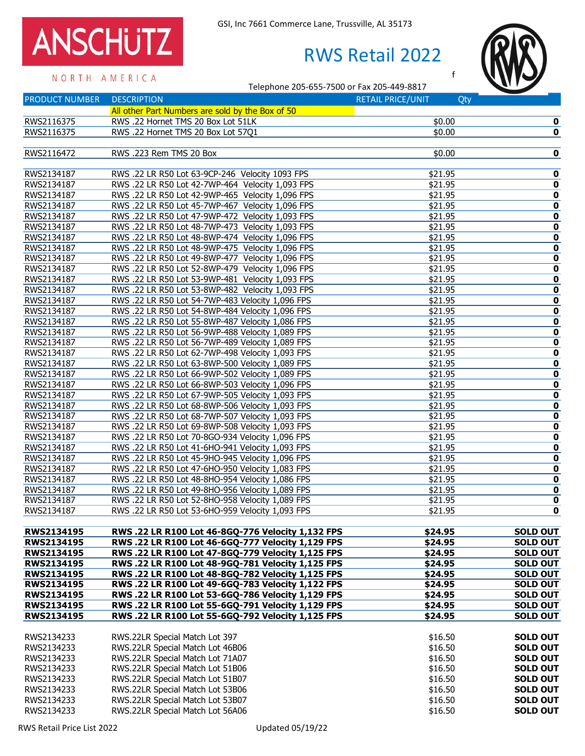## ANSCHUTZ **GSI, Inc 7661 Commerce Lane, Trussville, AL 35173**<br>RWS Retail 20

## RWS Retail 2022





f

N O R T H A M E R I C A<br>Telephone 205-655-7500 or Fax 205-449-8817

| <b>PRODUCT NUMBER</b> | <b>DESCRIPTION</b>                                | <b>RETAIL PRICE/UNIT</b> | Qty                     |
|-----------------------|---------------------------------------------------|--------------------------|-------------------------|
|                       | All other Part Numbers are sold by the Box of 50  |                          |                         |
| RWS2116375            | RWS .22 Hornet TMS 20 Box Lot 51LK                | \$0.00                   | $\pmb{0}$               |
| RWS2116375            | RWS .22 Hornet TMS 20 Box Lot 57Q1                | \$0.00                   | 0                       |
|                       |                                                   |                          |                         |
| RWS2116472            | RWS .223 Rem TMS 20 Box                           | \$0.00                   | 0                       |
|                       |                                                   |                          |                         |
| RWS2134187            | RWS .22 LR R50 Lot 63-9CP-246 Velocity 1093 FPS   | \$21.95                  | 0                       |
| RWS2134187            | RWS .22 LR R50 Lot 42-7WP-464 Velocity 1,093 FPS  | \$21.95                  | $\pmb{0}$               |
| RWS2134187            | RWS .22 LR R50 Lot 42-9WP-465 Velocity 1,096 FPS  | \$21.95                  | 0                       |
| RWS2134187            | RWS .22 LR R50 Lot 45-7WP-467 Velocity 1,096 FPS  | \$21.95                  | $\pmb{0}$               |
| RWS2134187            | RWS .22 LR R50 Lot 47-9WP-472 Velocity 1,093 FPS  | \$21.95                  | 0                       |
| RWS2134187            | RWS .22 LR R50 Lot 48-7WP-473 Velocity 1,093 FPS  | \$21.95                  | $\overline{\mathbf{0}}$ |
| RWS2134187            | RWS .22 LR R50 Lot 48-8WP-474 Velocity 1,096 FPS  | \$21.95                  | 0                       |
| RWS2134187            | RWS .22 LR R50 Lot 48-9WP-475 Velocity 1,096 FPS  | \$21.95                  | 0                       |
| RWS2134187            | RWS .22 LR R50 Lot 49-8WP-477 Velocity 1,096 FPS  | \$21.95                  | $\bf{0}$                |
| RWS2134187            | RWS .22 LR R50 Lot 52-8WP-479 Velocity 1,096 FPS  | \$21.95                  | 0                       |
| RWS2134187            | RWS .22 LR R50 Lot 53-9WP-481 Velocity 1,093 FPS  | \$21.95                  | 0                       |
| RWS2134187            | RWS .22 LR R50 Lot 53-8WP-482 Velocity 1,093 FPS  | \$21.95                  | $\pmb{0}$               |
| RWS2134187            | RWS .22 LR R50 Lot 54-7WP-483 Velocity 1,096 FPS  | \$21.95                  | 0                       |
| RWS2134187            | RWS .22 LR R50 Lot 54-8WP-484 Velocity 1,096 FPS  | \$21.95                  | 0                       |
| RWS2134187            | RWS .22 LR R50 Lot 55-8WP-487 Velocity 1,086 FPS  | \$21.95                  | 0                       |
| RWS2134187            | RWS .22 LR R50 Lot 56-9WP-488 Velocity 1,089 FPS  | \$21.95                  | 0                       |
| RWS2134187            | RWS .22 LR R50 Lot 56-7WP-489 Velocity 1,089 FPS  | \$21.95                  | 0                       |
| RWS2134187            | RWS .22 LR R50 Lot 62-7WP-498 Velocity 1,093 FPS  | \$21.95                  | 0                       |
| RWS2134187            | RWS .22 LR R50 Lot 63-8WP-500 Velocity 1,089 FPS  | \$21.95                  | 0                       |
| RWS2134187            | RWS .22 LR R50 Lot 66-9WP-502 Velocity 1,089 FPS  | \$21.95                  | $\pmb{0}$               |
| RWS2134187            | RWS .22 LR R50 Lot 66-8WP-503 Velocity 1,096 FPS  | \$21.95                  | 0                       |
| RWS2134187            | RWS .22 LR R50 Lot 67-9WP-505 Velocity 1,093 FPS  | \$21.95                  | 0                       |
| RWS2134187            | RWS .22 LR R50 Lot 68-8WP-506 Velocity 1,093 FPS  | \$21.95                  | 0                       |
| RWS2134187            | RWS .22 LR R50 Lot 68-7WP-507 Velocity 1,093 FPS  | \$21.95                  | $\overline{\textbf{0}}$ |
| RWS2134187            | RWS .22 LR R50 Lot 69-8WP-508 Velocity 1,093 FPS  | \$21.95                  | 0                       |
| RWS2134187            | RWS .22 LR R50 Lot 70-8GO-934 Velocity 1,096 FPS  | \$21.95                  | 0                       |
| RWS2134187            | RWS .22 LR R50 Lot 41-6HO-941 Velocity 1,093 FPS  | \$21.95                  | $\bf{0}$                |
| RWS2134187            | RWS .22 LR R50 Lot 45-9HO-945 Velocity 1,096 FPS  | \$21.95                  | 0                       |
| RWS2134187            | RWS .22 LR R50 Lot 47-6HO-950 Velocity 1,083 FPS  | \$21.95                  | 0                       |
| RWS2134187            | RWS .22 LR R50 Lot 48-8HO-954 Velocity 1,086 FPS  | \$21.95                  | $\pmb{0}$               |
| RWS2134187            | RWS .22 LR R50 Lot 49-8HO-956 Velocity 1,089 FPS  | \$21.95                  | 0                       |
| RWS2134187            | RWS .22 LR R50 Lot 52-8HO-958 Velocity 1,089 FPS  | \$21.95                  | $\pmb{0}$               |
| RWS2134187            | RWS .22 LR R50 Lot 53-6HO-959 Velocity 1,093 FPS  | \$21.95                  | $\mathbf 0$             |
|                       |                                                   |                          |                         |
| RWS2134195            | RWS .22 LR R100 Lot 46-8GQ-776 Velocity 1,132 FPS | \$24.95                  | <b>SOLD OUT</b>         |
| <b>RWS2134195</b>     | RWS .22 LR R100 Lot 46-6GQ-777 Velocity 1,129 FPS | \$24.95                  | <b>SOLD OUT</b>         |
| RWS2134195            | RWS .22 LR R100 Lot 47-8GQ-779 Velocity 1,125 FPS | \$24.95                  | <b>SOLD OUT</b>         |
| <b>RWS2134195</b>     | RWS .22 LR R100 Lot 48-9GQ-781 Velocity 1,125 FPS | \$24.95                  | <b>SOLD OUT</b>         |
| RWS2134195            | RWS .22 LR R100 Lot 48-8GQ-782 Velocity 1,125 FPS | \$24.95                  | <b>SOLD OUT</b>         |
| <b>RWS2134195</b>     | RWS .22 LR R100 Lot 49-6GQ-783 Velocity 1,122 FPS | \$24.95                  | <b>SOLD OUT</b>         |
| RWS2134195            | RWS .22 LR R100 Lot 53-6GQ-786 Velocity 1,129 FPS | \$24.95                  | <b>SOLD OUT</b>         |
| <b>RWS2134195</b>     | RWS .22 LR R100 Lot 55-6GQ-791 Velocity 1,129 FPS | \$24.95                  | <b>SOLD OUT</b>         |
| RWS2134195            | RWS .22 LR R100 Lot 55-6GQ-792 Velocity 1,125 FPS | \$24.95                  | <b>SOLD OUT</b>         |
|                       |                                                   |                          |                         |
| RWS2134233            | RWS.22LR Special Match Lot 397                    | \$16.50                  | <b>SOLD OUT</b>         |
| RWS2134233            | RWS.22LR Special Match Lot 46B06                  | \$16.50                  | <b>SOLD OUT</b>         |
| RWS2134233            | RWS.22LR Special Match Lot 71A07                  | \$16.50                  | <b>SOLD OUT</b>         |
| RWS2134233            | RWS.22LR Special Match Lot 51B06                  | \$16.50                  | <b>SOLD OUT</b>         |
| RWS2134233            | RWS.22LR Special Match Lot 51B07                  | \$16.50                  | <b>SOLD OUT</b>         |
| RWS2134233            | RWS.22LR Special Match Lot 53B06                  | \$16.50                  | <b>SOLD OUT</b>         |
| RWS2134233            | RWS.22LR Special Match Lot 53B07                  | \$16.50                  | <b>SOLD OUT</b>         |
| RWS2134233            | RWS.22LR Special Match Lot 56A06                  | \$16.50                  | <b>SOLD OUT</b>         |